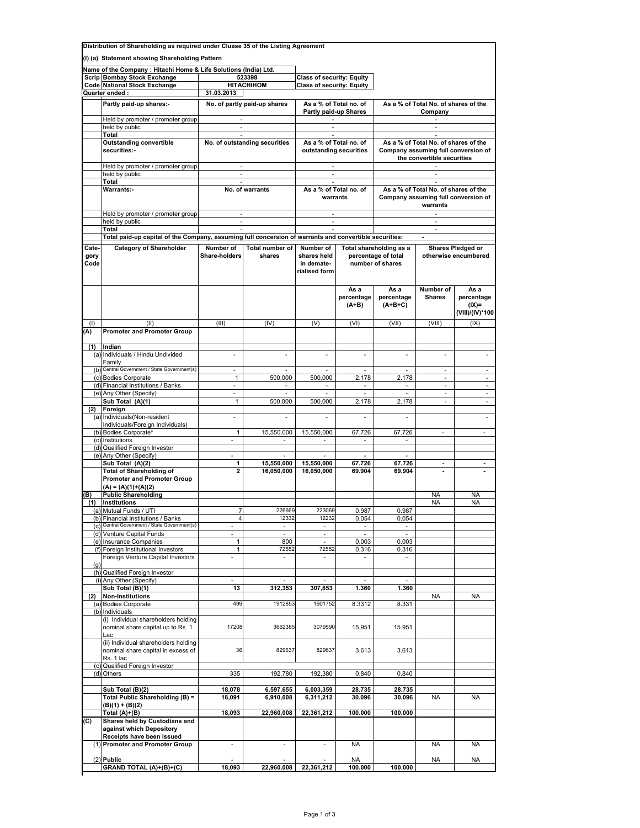| Distribution of Shareholding as required under Cluase 35 of the Listing Agreement |                                                                                                |                                                                                            |                              |                                                              |                                                                                                        |                                                                                         |                             |                                                   |  |  |
|-----------------------------------------------------------------------------------|------------------------------------------------------------------------------------------------|--------------------------------------------------------------------------------------------|------------------------------|--------------------------------------------------------------|--------------------------------------------------------------------------------------------------------|-----------------------------------------------------------------------------------------|-----------------------------|---------------------------------------------------|--|--|
|                                                                                   | (I) (a) Statement showing Shareholding Pattern                                                 |                                                                                            |                              |                                                              |                                                                                                        |                                                                                         |                             |                                                   |  |  |
|                                                                                   |                                                                                                |                                                                                            |                              |                                                              |                                                                                                        |                                                                                         |                             |                                                   |  |  |
|                                                                                   | Name of the Company: Hitachi Home & Life Solutions (India) Ltd.<br>Scrip Bombay Stock Exchange |                                                                                            | 523398                       | <b>Class of security: Equity</b>                             |                                                                                                        |                                                                                         |                             |                                                   |  |  |
|                                                                                   | <b>Code National Stock Exchange</b>                                                            |                                                                                            | <b>HITACHIHOM</b>            | <b>Class of security: Equity</b>                             |                                                                                                        |                                                                                         |                             |                                                   |  |  |
|                                                                                   | Quarter ended :                                                                                | 31.03.2013                                                                                 |                              |                                                              |                                                                                                        |                                                                                         |                             |                                                   |  |  |
|                                                                                   | Partly paid-up shares:-                                                                        |                                                                                            | No. of partly paid-up shares |                                                              |                                                                                                        |                                                                                         |                             |                                                   |  |  |
|                                                                                   |                                                                                                |                                                                                            |                              | As a % of Total no. of<br>Partly paid-up Shares              |                                                                                                        | As a % of Total No. of shares of the<br>Company                                         |                             |                                                   |  |  |
|                                                                                   | Held by promoter / promoter group                                                              | $\sim$                                                                                     |                              | $\Delta \phi$ and $\phi$ and $\phi$                          |                                                                                                        | $\sim$                                                                                  |                             |                                                   |  |  |
|                                                                                   | held by public                                                                                 | ÷.                                                                                         |                              |                                                              |                                                                                                        |                                                                                         |                             |                                                   |  |  |
|                                                                                   | Total                                                                                          | $\sim$                                                                                     |                              | $\sim$                                                       |                                                                                                        |                                                                                         |                             |                                                   |  |  |
|                                                                                   | <b>Outstanding convertible</b>                                                                 | No. of outstanding securities<br>$\sim$<br>$\sim$<br>No. of warrants<br>$\sim$<br>$\omega$ |                              | As a % of Total no. of<br>outstanding securities<br>$\sim$   |                                                                                                        | As a % of Total No. of shares of the                                                    |                             |                                                   |  |  |
|                                                                                   | securities:-                                                                                   |                                                                                            |                              |                                                              |                                                                                                        | Company assuming full conversion of<br>the convertible securities<br>$\sim$             |                             |                                                   |  |  |
|                                                                                   | Held by promoter / promoter group                                                              |                                                                                            |                              |                                                              |                                                                                                        |                                                                                         |                             |                                                   |  |  |
|                                                                                   | held by public                                                                                 |                                                                                            |                              |                                                              |                                                                                                        |                                                                                         |                             |                                                   |  |  |
|                                                                                   | Total                                                                                          |                                                                                            |                              | <b>Service Control</b><br>As a % of Total no. of<br>warrants |                                                                                                        | As a % of Total No. of shares of the<br>Company assuming full conversion of<br>warrants |                             |                                                   |  |  |
|                                                                                   | Warrants:-                                                                                     |                                                                                            |                              |                                                              |                                                                                                        |                                                                                         |                             |                                                   |  |  |
|                                                                                   | Held by promoter / promoter group                                                              |                                                                                            |                              |                                                              | $\sim 100$                                                                                             |                                                                                         | <b>Contract</b>             |                                                   |  |  |
|                                                                                   | held by public                                                                                 |                                                                                            |                              |                                                              |                                                                                                        |                                                                                         | ×.                          |                                                   |  |  |
|                                                                                   | Total                                                                                          |                                                                                            |                              | ×.                                                           |                                                                                                        |                                                                                         | $\overline{\phantom{a}}$    |                                                   |  |  |
|                                                                                   |                                                                                                |                                                                                            |                              |                                                              | Total paid-up capital of the Company, assuming full concersion of warrants and convertible securities: |                                                                                         |                             |                                                   |  |  |
| Cate-                                                                             | <b>Category of Shareholder</b>                                                                 | Number of                                                                                  | Total number of              | Number of                                                    |                                                                                                        | Total shareholding as a                                                                 |                             | Shares Pledged or                                 |  |  |
| gory<br>Code                                                                      |                                                                                                | Share-holders                                                                              | shares                       | shares held<br>in demate-<br>rialised form                   |                                                                                                        | percentage of total<br>number of shares                                                 |                             | otherwise encumbered                              |  |  |
|                                                                                   |                                                                                                |                                                                                            |                              |                                                              | As a<br>percentage<br>$(A+B)$                                                                          | Asa<br>percentage<br>$(A+B+C)$                                                          | Number of<br><b>Shares</b>  | As a<br>percentage<br>$(IX)$ =<br>(VIII)/(IV)*100 |  |  |
| (1)                                                                               | (II)                                                                                           | (III)                                                                                      | (IV)                         | (V)                                                          | (VI)                                                                                                   | (VII)                                                                                   | (VIII)                      | (IX)                                              |  |  |
| (A)                                                                               | <b>Promoter and Promoter Group</b>                                                             |                                                                                            |                              |                                                              |                                                                                                        |                                                                                         |                             |                                                   |  |  |
|                                                                                   |                                                                                                |                                                                                            |                              |                                                              |                                                                                                        |                                                                                         |                             |                                                   |  |  |
| (1)                                                                               | Indian<br>(a) Individuals / Hindu Undivided                                                    | ÷.                                                                                         | $\overline{\phantom{a}}$     |                                                              |                                                                                                        |                                                                                         | ä,                          | ÷,                                                |  |  |
|                                                                                   | Family                                                                                         |                                                                                            |                              |                                                              |                                                                                                        |                                                                                         |                             |                                                   |  |  |
|                                                                                   | (b) Central Government / State Government(s)                                                   | $\sim$                                                                                     | $\sim$                       | $\overline{\phantom{a}}$                                     | $\sim$                                                                                                 | $\sim$                                                                                  | $\mathcal{L}_{\mathcal{A}}$ | $\sim$                                            |  |  |
|                                                                                   | (c) Bodies Corporate                                                                           | $\mathbf{1}$                                                                               | 500,000                      | 500,000                                                      | 2.178                                                                                                  | 2.178                                                                                   | $\omega$                    | $\omega$                                          |  |  |
|                                                                                   | (d) Financial Institutions / Banks                                                             | $\sim$                                                                                     | $\sim$                       | $\sim$                                                       | $\sim$                                                                                                 | $\sim$                                                                                  | $\blacksquare$              | $\sim$                                            |  |  |
|                                                                                   | (e) Any Other (Specify)                                                                        | ÷.                                                                                         |                              |                                                              | $\mathcal{L}_{\mathcal{A}}$                                                                            | $\sim$                                                                                  | $\sim$                      | ÷.                                                |  |  |
| (2)                                                                               | Sub Total (A)(1)<br>Foreign                                                                    | $\mathbf{1}$                                                                               | 500,000                      | 500,000                                                      | 2.178                                                                                                  | 2.178                                                                                   | $\sim$                      | $\sim$                                            |  |  |
|                                                                                   | (a) Individuals (Non-resident                                                                  |                                                                                            | ÷                            |                                                              |                                                                                                        |                                                                                         |                             | ×.                                                |  |  |
|                                                                                   | Individuals/Foreign Individuals)                                                               |                                                                                            |                              |                                                              |                                                                                                        |                                                                                         |                             |                                                   |  |  |
|                                                                                   | (b) Bodies Corporate*                                                                          | $\mathbf{1}$                                                                               | 15,550,000                   | 15,550,000                                                   | 67.726                                                                                                 | 67.726                                                                                  | $\overline{\phantom{a}}$    | $\sim$                                            |  |  |
|                                                                                   | (c) Institutions                                                                               | $\mathcal{L}_{\mathcal{A}}$                                                                | $\sim$                       | $\sim$                                                       | $\sim$                                                                                                 | $\sim$                                                                                  |                             |                                                   |  |  |
|                                                                                   | (d) Qualified Foreign Investor                                                                 | $\sim$                                                                                     | $\sim$                       | $\sim$                                                       | $\sim$                                                                                                 | $\sim$                                                                                  |                             |                                                   |  |  |
|                                                                                   | (e) Any Other (Specify)<br>Sub Total (A)(2)                                                    | 1                                                                                          | 15,550,000                   | 15,550,000                                                   | 67.726                                                                                                 | 67.726                                                                                  | $\blacksquare$              | $\overline{\phantom{0}}$                          |  |  |
|                                                                                   | <b>Total of Shareholding of</b>                                                                | 2                                                                                          | 16,050,000                   | 16,050,000                                                   | 69.904                                                                                                 | 69.904                                                                                  |                             |                                                   |  |  |
|                                                                                   | <b>Promoter and Promoter Group</b>                                                             |                                                                                            |                              |                                                              |                                                                                                        |                                                                                         |                             |                                                   |  |  |
|                                                                                   | $(A) = (A)(1)+(A)(2)$                                                                          |                                                                                            |                              |                                                              |                                                                                                        |                                                                                         |                             |                                                   |  |  |
| (B                                                                                | <b>Public Shareholding</b>                                                                     |                                                                                            |                              |                                                              |                                                                                                        |                                                                                         | <b>NA</b>                   | <b>NA</b>                                         |  |  |
| (1)                                                                               | <b>Institutions</b>                                                                            |                                                                                            |                              |                                                              |                                                                                                        |                                                                                         | <b>NA</b>                   | <b>NA</b>                                         |  |  |
|                                                                                   | (a) Mutual Funds / UTI<br>(b) Financial Institutions / Banks                                   | $\overline{4}$                                                                             | 770009<br>12332              | 223069<br>12232                                              | <u>u.987</u><br>0.054                                                                                  | 0.987<br>0.054                                                                          |                             |                                                   |  |  |
|                                                                                   | (c) Central Government / State Government(s)                                                   | ÷.                                                                                         | $\blacksquare$               | $\overline{\phantom{a}}$                                     | ٠                                                                                                      | $\overline{\phantom{a}}$                                                                |                             |                                                   |  |  |
|                                                                                   | (d) Venture Capital Funds                                                                      | ÷,                                                                                         | ÷.                           | $\omega$                                                     | $\sim$                                                                                                 | $\mathcal{L}_{\mathcal{A}}$                                                             |                             |                                                   |  |  |
|                                                                                   | (e) Insurance Companies                                                                        | 1                                                                                          | 800                          | $\overline{\phantom{a}}$                                     | 0.003                                                                                                  | 0.003                                                                                   |                             |                                                   |  |  |
|                                                                                   | (f) Foreign Institutional Investors                                                            | 1                                                                                          | 72552                        | 72552                                                        | 0.316                                                                                                  | 0.316                                                                                   |                             |                                                   |  |  |
|                                                                                   | Foreign Venture Capital Investors                                                              | ÷,                                                                                         | $\overline{\phantom{a}}$     |                                                              |                                                                                                        |                                                                                         |                             |                                                   |  |  |
| (g)                                                                               | (h) Qualified Foreign Investor                                                                 |                                                                                            |                              |                                                              |                                                                                                        |                                                                                         |                             |                                                   |  |  |
|                                                                                   | (i) Any Other (Specify)                                                                        | ÷,                                                                                         |                              | ä,                                                           | $\sim$                                                                                                 |                                                                                         |                             |                                                   |  |  |
|                                                                                   | Sub Total (B)(1)                                                                               | 13                                                                                         | 312,353                      | 307,853                                                      | 1.360                                                                                                  | 1.360                                                                                   |                             |                                                   |  |  |
| (2)                                                                               | <b>Non-Institutions</b>                                                                        |                                                                                            |                              |                                                              |                                                                                                        |                                                                                         | <b>NA</b>                   | <b>NA</b>                                         |  |  |
|                                                                                   | (a) Bodies Corporate                                                                           | 499                                                                                        | 1912853                      | 1901752                                                      | 8.3312                                                                                                 | 8.331                                                                                   |                             |                                                   |  |  |
|                                                                                   | (b) Individuals<br>(i) Individual shareholders holding<br>nominal share capital up to Rs. 1    | 17208                                                                                      | 3662385                      | 3079590                                                      | 15.951                                                                                                 | 15.951                                                                                  |                             |                                                   |  |  |
|                                                                                   | Lac<br>(ii) Individual shareholders holding<br>nominal share capital in excess of              | 36                                                                                         | 829637                       | 829637                                                       | 3.613                                                                                                  | 3.613                                                                                   |                             |                                                   |  |  |
|                                                                                   | Rs. 1 lac                                                                                      |                                                                                            |                              |                                                              |                                                                                                        |                                                                                         |                             |                                                   |  |  |
|                                                                                   | (c) Qualified Foreign Investor                                                                 |                                                                                            |                              |                                                              |                                                                                                        |                                                                                         |                             |                                                   |  |  |
|                                                                                   | (d) Others                                                                                     | 335                                                                                        | 192,780                      | 192,380                                                      | 0.840                                                                                                  | 0.840                                                                                   |                             |                                                   |  |  |
|                                                                                   | Sub Total (B)(2)                                                                               | 18,078                                                                                     | 6,597,655                    | 6,003,359                                                    | 28.735                                                                                                 | 28.735                                                                                  |                             |                                                   |  |  |
|                                                                                   | Total Public Shareholding (B) =                                                                | 18,091                                                                                     | 6,910,008                    | 6,311,212                                                    | 30.096                                                                                                 | 30.096                                                                                  | <b>NA</b>                   | NA                                                |  |  |
|                                                                                   | $(B)(1) + (B)(2)$                                                                              |                                                                                            |                              |                                                              |                                                                                                        |                                                                                         |                             |                                                   |  |  |
|                                                                                   | Total (A)+(B)                                                                                  | 18,093                                                                                     | 22,960,008                   | 22,361,212                                                   | 100.000                                                                                                | 100.000                                                                                 |                             |                                                   |  |  |
| (C)                                                                               | Shares held by Custodians and<br>against which Depository<br>Receipts have been issued         |                                                                                            |                              |                                                              |                                                                                                        |                                                                                         |                             |                                                   |  |  |
|                                                                                   | (1) Promoter and Promoter Group                                                                | $\overline{\phantom{a}}$                                                                   | $\overline{\phantom{a}}$     | $\overline{\phantom{a}}$                                     | <b>NA</b>                                                                                              |                                                                                         | NA                          | NA                                                |  |  |
|                                                                                   |                                                                                                |                                                                                            |                              |                                                              |                                                                                                        |                                                                                         |                             |                                                   |  |  |
|                                                                                   | $(2)$ Public                                                                                   |                                                                                            |                              |                                                              | <b>NA</b>                                                                                              |                                                                                         | <b>NA</b>                   | NA                                                |  |  |
|                                                                                   | GRAND TOTAL (A)+(B)+(C)                                                                        | 18,093                                                                                     | 22,960,008                   | 22,361,212                                                   | 100.000                                                                                                | 100.000                                                                                 |                             |                                                   |  |  |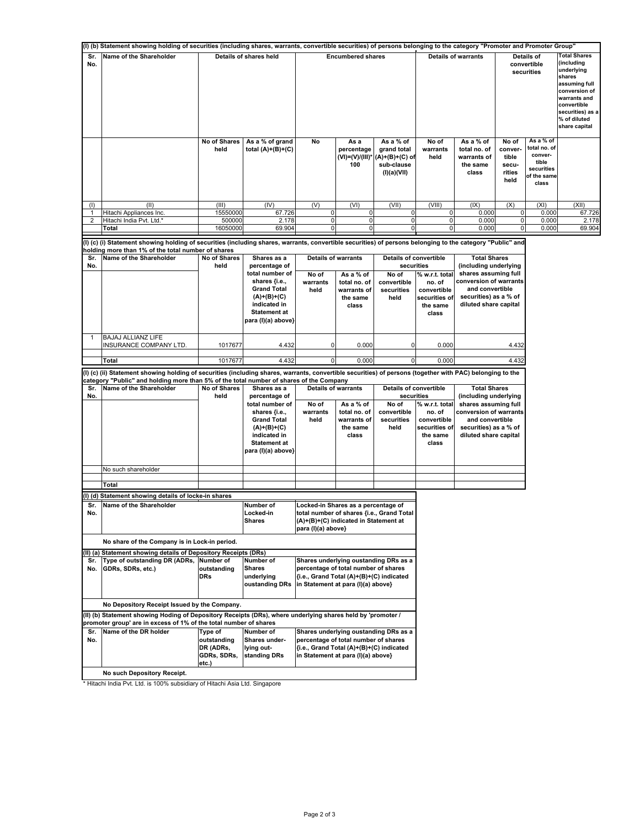| (I) (b) Statement showing holding of securities (including shares, warrants, convertible securities) of persons belonging to the category "Promoter and Promoter Group" |                                                                                                                                                                                                                                                      |                                                             |                                                                                                                                      |                                                                                                                                                                 |                                                                              |                                                                         |                                                                                             |                                                                                                                     |                                                      |                                                                                     |                                                                                                                                                                                 |
|-------------------------------------------------------------------------------------------------------------------------------------------------------------------------|------------------------------------------------------------------------------------------------------------------------------------------------------------------------------------------------------------------------------------------------------|-------------------------------------------------------------|--------------------------------------------------------------------------------------------------------------------------------------|-----------------------------------------------------------------------------------------------------------------------------------------------------------------|------------------------------------------------------------------------------|-------------------------------------------------------------------------|---------------------------------------------------------------------------------------------|---------------------------------------------------------------------------------------------------------------------|------------------------------------------------------|-------------------------------------------------------------------------------------|---------------------------------------------------------------------------------------------------------------------------------------------------------------------------------|
| Sr.<br>No.                                                                                                                                                              | Name of the Shareholder                                                                                                                                                                                                                              |                                                             | Details of shares held                                                                                                               |                                                                                                                                                                 | <b>Encumbered shares</b>                                                     |                                                                         | <b>Details of warrants</b>                                                                  |                                                                                                                     | Details of<br>convertible<br>securities              |                                                                                     | <b>Total Shares</b><br>(including<br>underlying<br>shares<br>assuming full<br>conversion of<br>warrants and<br>convertible<br>securities) as a<br>% of diluted<br>share capital |
|                                                                                                                                                                         |                                                                                                                                                                                                                                                      | No of Shares<br>held                                        | As a % of grand<br>total (A)+(B)+(C)                                                                                                 | No                                                                                                                                                              | As a<br>percentage<br>(VI)=(V)/(III)*<br>100                                 | As a % of<br>grand total<br>(A)+(B)+(C) of<br>sub-clause<br>(I)(a)(VII) | No of<br>warrants<br>held                                                                   | As a % of<br>total no. of<br>warrants of<br>the same<br>class                                                       | No of<br>conver-<br>tible<br>secu-<br>rities<br>held | As a % of<br>total no. of<br>conver-<br>tible<br>securities<br>of the same<br>class |                                                                                                                                                                                 |
| (1)                                                                                                                                                                     | (II)                                                                                                                                                                                                                                                 | (III)                                                       | (IV)                                                                                                                                 | (V)                                                                                                                                                             | (VI)                                                                         | (VII)<br>$\pmb{0}$                                                      | (VIII)                                                                                      | (IX)                                                                                                                | (X)                                                  | (XI)                                                                                | (XII)                                                                                                                                                                           |
| 1<br>$\overline{\mathbf{c}}$                                                                                                                                            | Hitachi Appliances Inc.<br>Hitachi India Pvt. Ltd.*                                                                                                                                                                                                  | 15550000<br>500000                                          | 67.726<br>2.178                                                                                                                      | $\overline{0}$<br>$\overline{0}$                                                                                                                                | 0<br>0                                                                       | $\overline{0}$                                                          | $\overline{0}$<br>$\mathbf 0$                                                               | 0.000<br>0.000                                                                                                      | 0<br>0                                               | 0.000<br>0.000                                                                      | 67.726<br>2.178                                                                                                                                                                 |
|                                                                                                                                                                         | Total                                                                                                                                                                                                                                                | 16050000                                                    | 69.904                                                                                                                               | $\overline{0}$                                                                                                                                                  | $\Omega$                                                                     | 0                                                                       | $\mathbf{0}$                                                                                | 0.000                                                                                                               | $\pmb{0}$                                            | 0.000                                                                               | 69.904                                                                                                                                                                          |
|                                                                                                                                                                         |                                                                                                                                                                                                                                                      |                                                             |                                                                                                                                      |                                                                                                                                                                 |                                                                              |                                                                         |                                                                                             |                                                                                                                     |                                                      |                                                                                     |                                                                                                                                                                                 |
|                                                                                                                                                                         | (I) (c) (i) Statement showing holding of securities (including shares, warrants, convertible securities) of persons belonging to the category "Public" and                                                                                           |                                                             |                                                                                                                                      |                                                                                                                                                                 |                                                                              |                                                                         |                                                                                             |                                                                                                                     |                                                      |                                                                                     |                                                                                                                                                                                 |
| Sr.<br>No.                                                                                                                                                              | holding more than 1% of the total number of shares<br>Name of the Shareholder                                                                                                                                                                        | No of Shares<br>held                                        | Shares as a<br>percentage of<br>total number of<br>shares {i.e.,                                                                     | No of<br>warrants                                                                                                                                               | <b>Details of warrants</b><br>As a % of<br>total no. of                      | Details of convertible<br>securities<br>No of<br>convertible            | % w.r.t. total<br>no. of                                                                    | <b>Total Shares</b><br>(including underlying<br>shares assuming full<br>conversion of warrants                      |                                                      |                                                                                     |                                                                                                                                                                                 |
|                                                                                                                                                                         |                                                                                                                                                                                                                                                      |                                                             | <b>Grand Total</b><br>$(A)+(B)+(C)$<br>indicated in<br><b>Statement at</b><br>para (I)(a) above}                                     | held                                                                                                                                                            | warrants of<br>the same<br>class                                             | securities<br>held                                                      | convertible<br>securities of<br>the same<br>class                                           | and convertible<br>securities) as a % of<br>diluted share capital                                                   |                                                      |                                                                                     |                                                                                                                                                                                 |
| 1                                                                                                                                                                       | <b>BAJAJ ALLIANZ LIFE</b><br>INSURANCE COMPANY LTD                                                                                                                                                                                                   | 1017677                                                     | 4.432                                                                                                                                | $\overline{0}$                                                                                                                                                  | 0.000                                                                        |                                                                         | 0.000                                                                                       |                                                                                                                     | 4.432                                                |                                                                                     |                                                                                                                                                                                 |
|                                                                                                                                                                         | Total                                                                                                                                                                                                                                                | 1017677                                                     | 4.432                                                                                                                                | $\overline{0}$                                                                                                                                                  | 0.000                                                                        | 0                                                                       | 0.000                                                                                       |                                                                                                                     | 4.432                                                |                                                                                     |                                                                                                                                                                                 |
|                                                                                                                                                                         |                                                                                                                                                                                                                                                      |                                                             |                                                                                                                                      |                                                                                                                                                                 |                                                                              |                                                                         |                                                                                             |                                                                                                                     |                                                      |                                                                                     |                                                                                                                                                                                 |
|                                                                                                                                                                         | (I) (c) (ii) Statement showing holding of securities (including shares, warrants, convertible securities) of persons (together with PAC) belonging to the<br>category "Public" and holding more than 5% of the total number of shares of the Company |                                                             |                                                                                                                                      |                                                                                                                                                                 |                                                                              |                                                                         |                                                                                             |                                                                                                                     |                                                      |                                                                                     |                                                                                                                                                                                 |
| Sr.<br>No.                                                                                                                                                              | Name of the Shareholder                                                                                                                                                                                                                              | No of Shares<br>held                                        | Shares as a<br>percentage of                                                                                                         |                                                                                                                                                                 | <b>Details of warrants</b>                                                   |                                                                         | <b>Details of convertible</b><br><b>Total Shares</b><br>securities<br>(including underlying |                                                                                                                     |                                                      |                                                                                     |                                                                                                                                                                                 |
|                                                                                                                                                                         |                                                                                                                                                                                                                                                      |                                                             | total number of<br>shares {i.e.,<br><b>Grand Total</b><br>$(A)+(B)+(C)$<br>indicated in<br><b>Statement at</b><br>para (I)(a) above} | No of<br>warrants<br>held                                                                                                                                       | As a % of<br>total no. of<br>warrants of<br>the same<br>class                | No of<br>convertible<br>securities<br>held                              | % w.r.t. total<br>no. of<br>convertible<br>securities of<br>the same<br>class               | shares assuming full<br>conversion of warrants<br>and convertible<br>securities) as a % of<br>diluted share capital |                                                      |                                                                                     |                                                                                                                                                                                 |
|                                                                                                                                                                         | No such shareholder                                                                                                                                                                                                                                  |                                                             |                                                                                                                                      |                                                                                                                                                                 |                                                                              |                                                                         |                                                                                             |                                                                                                                     |                                                      |                                                                                     |                                                                                                                                                                                 |
|                                                                                                                                                                         |                                                                                                                                                                                                                                                      |                                                             |                                                                                                                                      |                                                                                                                                                                 |                                                                              |                                                                         |                                                                                             |                                                                                                                     |                                                      |                                                                                     |                                                                                                                                                                                 |
|                                                                                                                                                                         | Total                                                                                                                                                                                                                                                |                                                             |                                                                                                                                      |                                                                                                                                                                 |                                                                              |                                                                         |                                                                                             |                                                                                                                     |                                                      |                                                                                     |                                                                                                                                                                                 |
|                                                                                                                                                                         | (I) (d) Statement showing details of locke-in shares                                                                                                                                                                                                 |                                                             |                                                                                                                                      |                                                                                                                                                                 |                                                                              |                                                                         |                                                                                             |                                                                                                                     |                                                      |                                                                                     |                                                                                                                                                                                 |
| Sr.<br>No.                                                                                                                                                              | Name of the Shareholder                                                                                                                                                                                                                              |                                                             | Number of<br>Locked-in<br><b>Shares</b>                                                                                              | para (I)(a) above}                                                                                                                                              | Locked-in Shares as a percentage of<br>(A)+(B)+(C) indicated in Statement at | total number of shares {i.e., Grand Total                               |                                                                                             |                                                                                                                     |                                                      |                                                                                     |                                                                                                                                                                                 |
|                                                                                                                                                                         | No share of the Company is in Lock-in period.                                                                                                                                                                                                        |                                                             |                                                                                                                                      |                                                                                                                                                                 |                                                                              |                                                                         |                                                                                             |                                                                                                                     |                                                      |                                                                                     |                                                                                                                                                                                 |
| Sr.<br>No.                                                                                                                                                              | (II) (a) Statement showing details of Depository Receipts (DRs)<br>Type of outstanding DR (ADRs, Number of<br>GDRs, SDRs, etc.)                                                                                                                      | outstanding<br><b>DRs</b>                                   | Number of<br><b>Shares</b><br>underlying<br>oustanding DRs                                                                           | Shares underlying oustanding DRs as a<br>percentage of total number of shares<br>{i.e., Grand Total (A)+(B)+(C) indicated<br>in Statement at para (I)(a) above} |                                                                              |                                                                         |                                                                                             |                                                                                                                     |                                                      |                                                                                     |                                                                                                                                                                                 |
|                                                                                                                                                                         | No Depository Receipt Issued by the Company.<br>(II) (b) Statement showing Hoding of Depository Receipts (DRs), where underlying shares held by 'promoter /<br>promoter group' are in excess of 1% of the total number of shares                     |                                                             |                                                                                                                                      |                                                                                                                                                                 |                                                                              |                                                                         |                                                                                             |                                                                                                                     |                                                      |                                                                                     |                                                                                                                                                                                 |
| Sr.<br>No.                                                                                                                                                              | Name of the DR holder                                                                                                                                                                                                                                | Type of<br>outstanding<br>DR (ADRs,<br>GDRs, SDRs,<br>etc.) | Number of<br>Shares under-<br>lying out-<br>standing DRs                                                                             | {i.e., Grand Total (A)+(B)+(C) indicated<br>in Statement at para (I)(a) above}                                                                                  | percentage of total number of shares                                         | Shares underlying oustanding DRs as a                                   |                                                                                             |                                                                                                                     |                                                      |                                                                                     |                                                                                                                                                                                 |
|                                                                                                                                                                         | No such Depository Receipt.                                                                                                                                                                                                                          |                                                             |                                                                                                                                      |                                                                                                                                                                 |                                                                              |                                                                         |                                                                                             |                                                                                                                     |                                                      |                                                                                     |                                                                                                                                                                                 |

\* Hitachi India Pvt. Ltd. is 100% subsidiary of Hitachi Asia Ltd. Singapore